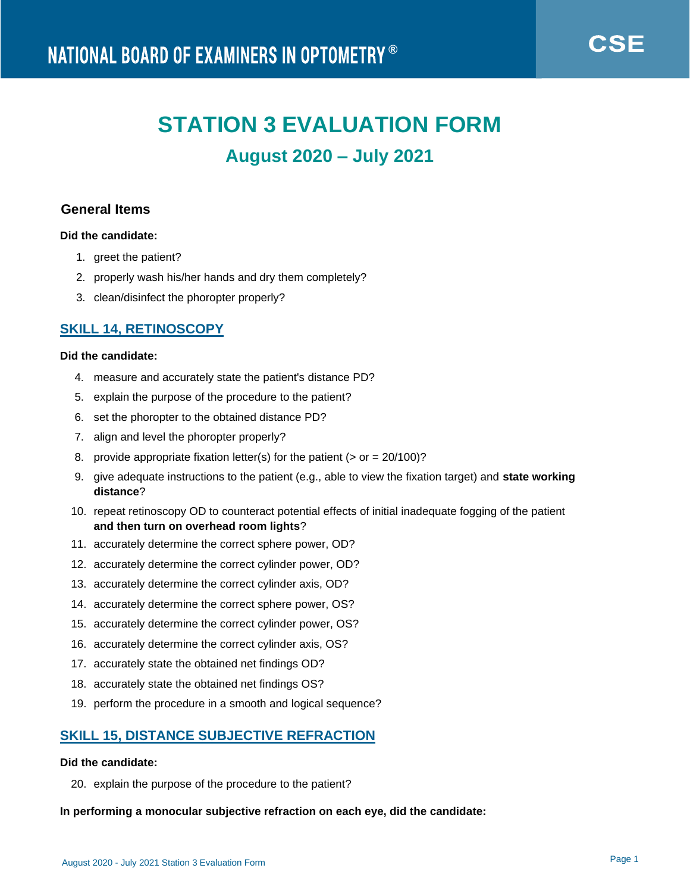# **STATION 3 EVALUATION FORM**

## **August 2020 – July 2021**

## **General Items**

## **Did the candidate:**

- 1. greet the patient?
- 2. properly wash his/her hands and dry them completely?
- 3. clean/disinfect the phoropter properly?

## **SKILL 14, RETINOSCOPY**

#### **Did the candidate:**

- 4. measure and accurately state the patient's distance PD?
- 5. explain the purpose of the procedure to the patient?
- 6. set the phoropter to the obtained distance PD?
- 7. align and level the phoropter properly?
- 8. provide appropriate fixation letter(s) for the patient ( $>$  or = 20/100)?
- 9. give adequate instructions to the patient (e.g., able to view the fixation target) and **state working distance**?
- 10. repeat retinoscopy OD to counteract potential effects of initial inadequate fogging of the patient **and then turn on overhead room lights**?
- 11. accurately determine the correct sphere power, OD?
- 12. accurately determine the correct cylinder power, OD?
- 13. accurately determine the correct cylinder axis, OD?
- 14. accurately determine the correct sphere power, OS?
- 15. accurately determine the correct cylinder power, OS?
- 16. accurately determine the correct cylinder axis, OS?
- 17. accurately state the obtained net findings OD?
- 18. accurately state the obtained net findings OS?
- 19. perform the procedure in a smooth and logical sequence?

## **SKILL 15, DISTANCE SUBJECTIVE REFRACTION**

#### **Did the candidate:**

20. explain the purpose of the procedure to the patient?

#### **In performing a monocular subjective refraction on each eye, did the candidate:**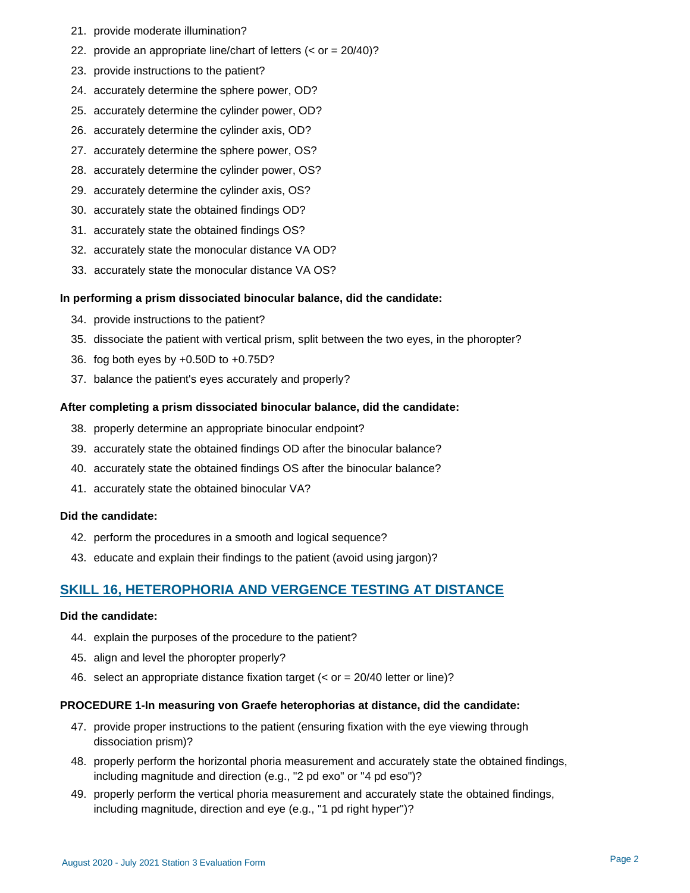- 21. provide moderate illumination?
- 22. provide an appropriate line/chart of letters (< or = 20/40)?
- 23. provide instructions to the patient?
- 24. accurately determine the sphere power, OD?
- 25. accurately determine the cylinder power, OD?
- 26. accurately determine the cylinder axis, OD?
- 27. accurately determine the sphere power, OS?
- 28. accurately determine the cylinder power, OS?
- 29. accurately determine the cylinder axis, OS?
- 30. accurately state the obtained findings OD?
- 31. accurately state the obtained findings OS?
- 32. accurately state the monocular distance VA OD?
- 33. accurately state the monocular distance VA OS?

#### **In performing a prism dissociated binocular balance, did the candidate:**

- 34. provide instructions to the patient?
- 35. dissociate the patient with vertical prism, split between the two eyes, in the phoropter?
- 36. fog both eyes by +0.50D to +0.75D?
- 37. balance the patient's eyes accurately and properly?

#### **After completing a prism dissociated binocular balance, did the candidate:**

- 38. properly determine an appropriate binocular endpoint?
- 39. accurately state the obtained findings OD after the binocular balance?
- 40. accurately state the obtained findings OS after the binocular balance?
- 41. accurately state the obtained binocular VA?

#### **Did the candidate:**

- 42. perform the procedures in a smooth and logical sequence?
- 43. educate and explain their findings to the patient (avoid using jargon)?

## **SKILL 16, HETEROPHORIA AND VERGENCE TESTING AT DISTANCE**

#### **Did the candidate:**

- 44. explain the purposes of the procedure to the patient?
- 45. align and level the phoropter properly?
- 46. select an appropriate distance fixation target (< or = 20/40 letter or line)?

#### **PROCEDURE 1-In measuring von Graefe heterophorias at distance, did the candidate:**

- 47. provide proper instructions to the patient (ensuring fixation with the eye viewing through dissociation prism)?
- 48. properly perform the horizontal phoria measurement and accurately state the obtained findings, including magnitude and direction (e.g., "2 pd exo" or "4 pd eso")?
- 49. properly perform the vertical phoria measurement and accurately state the obtained findings, including magnitude, direction and eye (e.g., "1 pd right hyper")?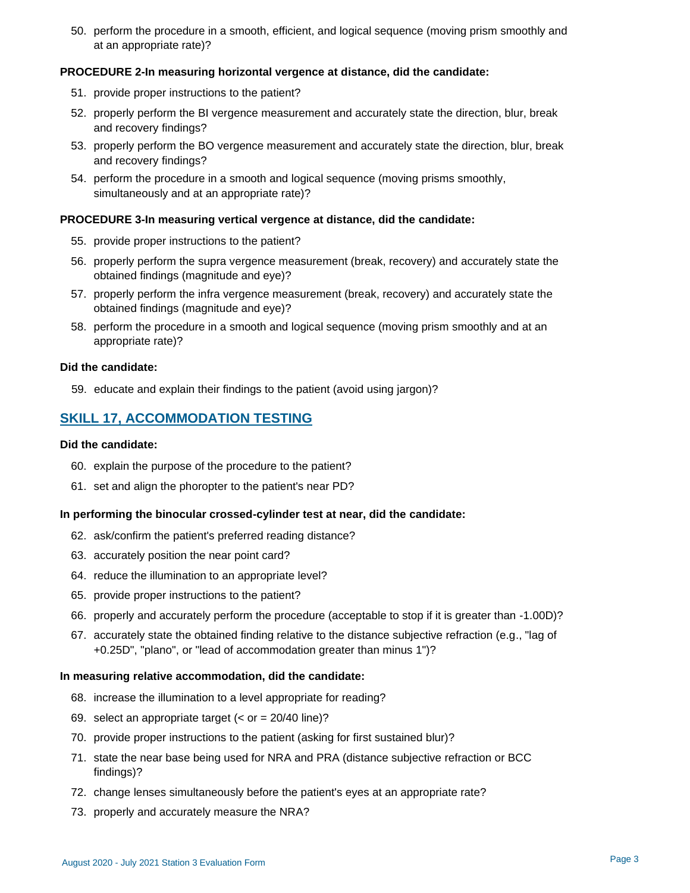50. perform the procedure in a smooth, efficient, and logical sequence (moving prism smoothly and at an appropriate rate)?

#### **PROCEDURE 2-In measuring horizontal vergence at distance, did the candidate:**

- 51. provide proper instructions to the patient?
- 52. properly perform the BI vergence measurement and accurately state the direction, blur, break and recovery findings?
- 53. properly perform the BO vergence measurement and accurately state the direction, blur, break and recovery findings?
- 54. perform the procedure in a smooth and logical sequence (moving prisms smoothly, simultaneously and at an appropriate rate)?

#### **PROCEDURE 3-In measuring vertical vergence at distance, did the candidate:**

- 55. provide proper instructions to the patient?
- 56. properly perform the supra vergence measurement (break, recovery) and accurately state the obtained findings (magnitude and eye)?
- 57. properly perform the infra vergence measurement (break, recovery) and accurately state the obtained findings (magnitude and eye)?
- 58. perform the procedure in a smooth and logical sequence (moving prism smoothly and at an appropriate rate)?

#### **Did the candidate:**

59. educate and explain their findings to the patient (avoid using jargon)?

## **SKILL 17, ACCOMMODATION TESTING**

#### **Did the candidate:**

- 60. explain the purpose of the procedure to the patient?
- 61. set and align the phoropter to the patient's near PD?

#### **In performing the binocular crossed-cylinder test at near, did the candidate:**

- 62. ask/confirm the patient's preferred reading distance?
- 63. accurately position the near point card?
- 64. reduce the illumination to an appropriate level?
- 65. provide proper instructions to the patient?
- 66. properly and accurately perform the procedure (acceptable to stop if it is greater than -1.00D)?
- 67. accurately state the obtained finding relative to the distance subjective refraction (e.g., "lag of +0.25D", "plano", or "lead of accommodation greater than minus 1")?

#### **In measuring relative accommodation, did the candidate:**

- 68. increase the illumination to a level appropriate for reading?
- 69. select an appropriate target (< or = 20/40 line)?
- 70. provide proper instructions to the patient (asking for first sustained blur)?
- 71. state the near base being used for NRA and PRA (distance subjective refraction or BCC findings)?
- 72. change lenses simultaneously before the patient's eyes at an appropriate rate?
- 73. properly and accurately measure the NRA?